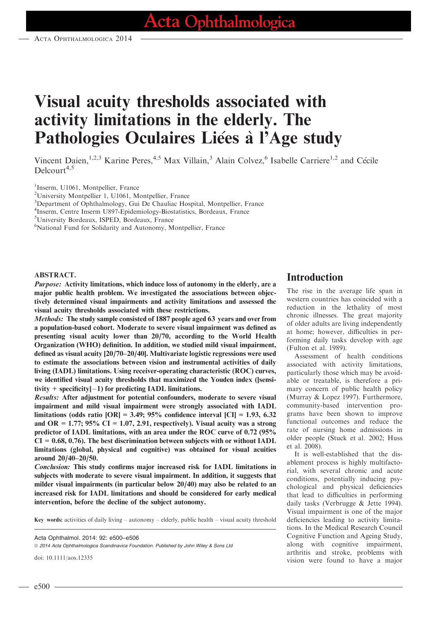# Visual acuity thresholds associated with activity limitations in the elderly. The Pathologies Oculaires Liées à l'Age study

Vincent Daien,<sup>1,2,3</sup> Karine Peres,<sup>4,5</sup> Max Villain,<sup>3</sup> Alain Colvez,<sup>6</sup> Isabelle Carriere<sup>1,2</sup> and Cécile Delcourt<sup>4,5</sup>

<sup>1</sup>Inserm, U1061, Montpellier, France

<sup>2</sup>University Montpellier 1, U1061, Montpellier, France

<sup>3</sup>Department of Ophthalmology, Gui De Chauliac Hospital, Montpellier, France

4 Inserm, Centre Inserm U897-Epidemiology-Biostatistics, Bordeaux, France

5 University Bordeaux, ISPED, Bordeaux, France

6 National Fund for Solidarity and Autonomy, Montpellier, France

#### ABSTRACT.

Purpose: Activity limitations, which induce loss of autonomy in the elderly, are a major public health problem. We investigated the associations between objectively determined visual impairments and activity limitations and assessed the visual acuity thresholds associated with these restrictions.

Methods: The study sample consisted of 1887 people aged 63 years and over from a population-based cohort. Moderate to severe visual impairment was defined as presenting visual acuity lower than 20/70, according to the World Health Organization (WHO) definition. In addition, we studied mild visual impairment, defined as visual acuity [20/70–20/40]. Multivariate logistic regressions were used to estimate the associations between vision and instrumental activities of daily living (IADL) limitations. Using receiver-operating characteristic (ROC) curves, we identified visual acuity thresholds that maximized the Youden index ([sensitivity  $+$  specificity $|-1$ ) for predicting IADL limitations.

Results: After adjustment for potential confounders, moderate to severe visual impairment and mild visual impairment were strongly associated with IADL limitations (odds ratio  $|OR| = 3.49$ ; 95% confidence interval  $|CI| = 1.93, 6.32$ and OR = 1.77; 95% CI = 1.07, 2.91, respectively). Visual acuity was a strong predictor of IADL limitations, with an area under the ROC curve of 0.72 (95%  $CI = 0.68, 0.76$ . The best discrimination between subjects with or without IADL limitations (global, physical and cognitive) was obtained for visual acuities around 20/40–20/50.

Conclusion: This study confirms major increased risk for IADL limitations in subjects with moderate to severe visual impairment. In addition, it suggests that milder visual impairments (in particular below 20/40) may also be related to an increased risk for IADL limitations and should be considered for early medical intervention, before the decline of the subject autonomy.

Key words: activities of daily living – autonomy – elderly, public health – visual acuity threshold

© 2014 Acta Ophthalmologica Scandinavica Foundation. Published by John Wiley & Sons Ltd

doi: 10.1111/aos.12335

# Introduction

The rise in the average life span in western countries has coincided with a reduction in the lethality of most chronic illnesses. The great majority of older adults are living independently at home; however, difficulties in performing daily tasks develop with age (Fulton et al. 1989).

Assessment of health conditions associated with activity limitations, particularly those which may be avoidable or treatable, is therefore a primary concern of public health policy (Murray & Lopez 1997). Furthermore, community-based intervention programs have been shown to improve functional outcomes and reduce the rate of nursing home admissions in older people (Stuck et al. 2002; Huss et al. 2008).

It is well-established that the disablement process is highly multifactorial, with several chronic and acute conditions, potentially inducing psychological and physical deficiencies that lead to difficulties in performing daily tasks (Verbrugge & Jette 1994). Visual impairment is one of the major deficiencies leading to activity limitations. In the Medical Research Council Cognitive Function and Ageing Study, along with cognitive impairment, arthritis and stroke, problems with vision were found to have a major

Acta Ophthalmol. 2014: 92: e500–e506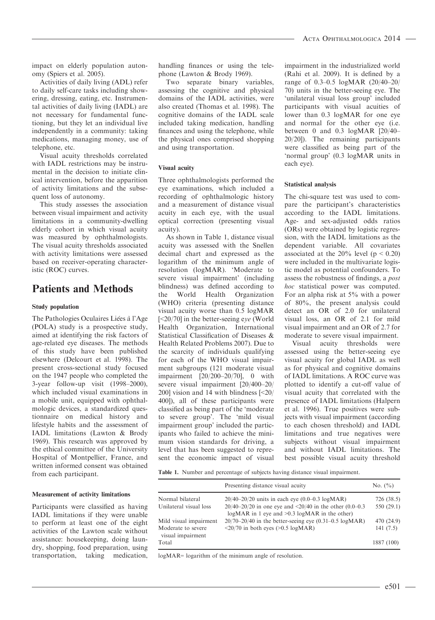impact on elderly population autonomy (Spiers et al. 2005).

Activities of daily living (ADL) refer to daily self-care tasks including showering, dressing, eating, etc. Instrumental activities of daily living (IADL) are not necessary for fundamental functioning, but they let an individual live independently in a community: taking medications, managing money, use of telephone, etc.

Visual acuity thresholds correlated with IADL restrictions may be instrumental in the decision to initiate clinical intervention, before the apparition of activity limitations and the subsequent loss of autonomy.

This study assesses the association between visual impairment and activity limitations in a community-dwelling elderly cohort in which visual acuity was measured by ophthalmologists. The visual acuity thresholds associated with activity limitations were assessed based on receiver-operating characteristic (ROC) curves.

# Patients and Methods

#### Study population

The Pathologies Oculaires Liées à l'Age (POLA) study is a prospective study, aimed at identifying the risk factors of age-related eye diseases. The methods of this study have been published elsewhere (Delcourt et al. 1998). The present cross-sectional study focused on the 1947 people who completed the 3-year follow-up visit (1998–2000), which included visual examinations in a mobile unit, equipped with ophthalmologic devices, a standardized questionnaire on medical history and lifestyle habits and the assessment of IADL limitations (Lawton & Brody 1969). This research was approved by the ethical committee of the University Hospital of Montpellier, France, and written informed consent was obtained from each participant.

#### Measurement of activity limitations

Participants were classified as having IADL limitations if they were unable to perform at least one of the eight activities of the Lawton scale without assistance: housekeeping, doing laundry, shopping, food preparation, using transportation, taking medication, handling finances or using the telephone (Lawton & Brody 1969).

Two separate binary variables, assessing the cognitive and physical domains of the IADL activities, were also created (Thomas et al. 1998). The cognitive domains of the IADL scale included taking medication, handling finances and using the telephone, while the physical ones comprised shopping and using transportation.

#### Visual acuity

Three ophthalmologists performed the eye examinations, which included a recording of ophthalmologic history and a measurement of distance visual acuity in each eye, with the usual optical correction (presenting visual acuity).

As shown in Table 1, distance visual acuity was assessed with the Snellen decimal chart and expressed as the logarithm of the minimum angle of resolution (logMAR). 'Moderate to severe visual impairment' (including blindness) was defined according to the World Health Organization (WHO) criteria (presenting distance visual acuity worse than 0.5 logMAR [<20/70] in the better-seeing eye (World Health Organization, International Statistical Classification of Diseases & Health Related Problems 2007). Due to the scarcity of individuals qualifying for each of the WHO visual impairment subgroups (121 moderate visual impairment [20/200–20/70], 0 with severe visual impairment [20/400–20/ 200] vision and 14 with blindness [<20/ 400]), all of these participants were classified as being part of the 'moderate to severe group'. The 'mild visual impairment group' included the participants who failed to achieve the minimum vision standards for driving, a level that has been suggested to represent the economic impact of visual impairment in the industrialized world (Rahi et al. 2009). It is defined by a range of 0.3–0.5 logMAR (20/40–20/ 70) units in the better-seeing eye. The 'unilateral visual loss group' included participants with visual acuities of lower than 0.3 logMAR for one eye and normal for the other eye (i.e. between 0 and 0.3 logMAR [20/40– 20/20]). The remaining participants were classified as being part of the 'normal group' (0.3 logMAR units in each eye).

#### Statistical analysis

The chi-square test was used to compare the participant's characteristics according to the IADL limitations. Age- and sex-adjusted odds ratios (ORs) were obtained by logistic regression, with the IADL limitations as the dependent variable. All covariates associated at the  $20\%$  level (p < 0.20) were included in the multivariate logistic model as potential confounders. To assess the robustness of findings, a post hoc statistical power was computed. For an alpha risk at 5% with a power of 80%, the present analysis could detect an OR of 2.0 for unilateral visual loss, an OR of 2.1 for mild visual impairment and an OR of 2.7 for moderate to severe visual impairment.

Visual acuity thresholds were assessed using the better-seeing eye visual acuity for global IADL as well as for physical and cognitive domains of IADL limitations. A ROC curve was plotted to identify a cut-off value of visual acuity that correlated with the presence of IADL limitations (Halpern et al. 1996). True positives were subjects with visual impairment (according to each chosen threshold) and IADL limitations and true negatives were subjects without visual impairment and without IADL limitations. The best possible visual acuity threshold

Table 1. Number and percentage of subjects having distance visual impairment.

|                                         | Presenting distance visual acuity                                                                                         | No. $(\% )$ |
|-----------------------------------------|---------------------------------------------------------------------------------------------------------------------------|-------------|
| Normal bilateral                        | $20/40 - 20/20$ units in each eye $(0.0 - 0.3 \log_{10} MAR)$                                                             | 726 (38.5)  |
| Unilateral visual loss                  | $20/40 - 20/20$ in one eye and $\leq 20/40$ in the other (0.0–0.3)<br>$logMAR$ in 1 eye and $>0.3$ $logMAR$ in the other) | 550(29.1)   |
| Mild visual impairment                  | $20/70-20/40$ in the better-seeing eye $(0.31-0.5 \text{ log} \text{MAR})$                                                | 470 (24.9)  |
| Moderate to severe<br>visual impairment | $\langle 20/70$ in both eyes ( $>0.5 \log \text{MAR}$ )                                                                   | 141(7.5)    |
| Total                                   |                                                                                                                           | 1887 (100)  |

logMAR= logarithm of the minimum angle of resolution.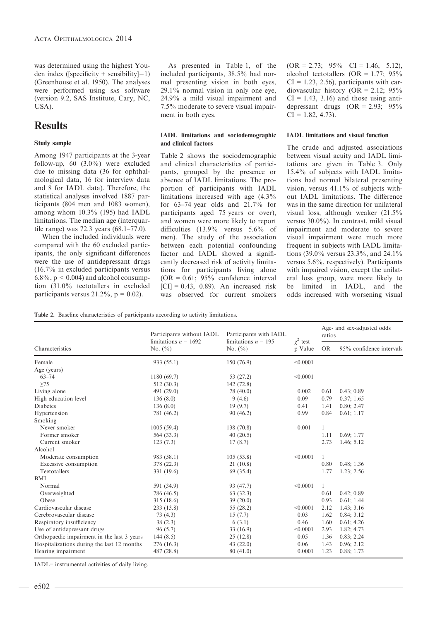was determined using the highest Youden index ([specificity + sensibility] $-1$ ) (Greenhouse et al. 1950). The analyses were performed using SAS software (version 9.2, SAS Institute, Cary, NC, USA).

### **Results**

#### Study sample

Among 1947 participants at the 3-year follow-up,  $60$   $(3.0\%)$  were excluded due to missing data (36 for ophthalmological data, 16 for interview data and 8 for IADL data). Therefore, the statistical analyses involved 1887 participants (804 men and 1083 women), among whom 10.3% (195) had IADL limitations. The median age (interquartile range) was 72.3 years (68.1–77.0).

When the included individuals were compared with the 60 excluded participants, the only significant differences were the use of antidepressant drugs (16.7% in excluded participants versus  $6.8\%$ ,  $p < 0.004$ ) and alcohol consumption (31.0% teetotallers in excluded participants versus  $21.2\%$ ,  $p = 0.02$ ).

As presented in Table 1, of the included participants, 38.5% had normal presenting vision in both eyes, 29.1% normal vision in only one eye, 24.9% a mild visual impairment and 7.5% moderate to severe visual impairment in both eyes.

#### IADL limitations and sociodemographic and clinical factors

Table 2 shows the sociodemographic and clinical characteristics of participants, grouped by the presence or absence of IADL limitations. The proportion of participants with IADL limitations increased with age (4.3% for 63–74 year olds and 21.7% for participants aged 75 years or over), and women were more likely to report difficulties (13.9% versus 5.6% of men). The study of the association between each potential confounding factor and IADL showed a significantly decreased risk of activity limitations for participants living alone  $(OR = 0.61; 95\%$  confidence interval  $[CI] = 0.43, 0.89$ . An increased risk was observed for current smokers

 $(OR = 2.73; 95\% \text{ CI} = 1.46, 5.12),$ alcohol teetotallers (OR =  $1.77$ ;  $95\%$  $CI = 1.23, 2.56$ , participants with cardiovascular history (OR = 2.12;  $95\%$  $CI = 1.43, 3.16$  and those using antidepressant drugs  $(OR = 2.93; 95\%)$  $CI = 1.82, 4.73$ .

#### IADL limitations and visual function

The crude and adjusted associations between visual acuity and IADL limitations are given in Table 3. Only 15.4% of subjects with IADL limitations had normal bilateral presenting vision, versus 41.1% of subjects without IADL limitations. The difference was in the same direction for unilateral visual loss, although weaker (21.5% versus 30.0%). In contrast, mild visual impairment and moderate to severe visual impairment were much more frequent in subjects with IADL limitations (39.0% versus 23.3%, and 24.1% versus 5.6%, respectively). Participants with impaired vision, except the unilateral loss group, were more likely to be limited in IADL, and the odds increased with worsening visual

Table 2. Baseline characteristics of participants according to activity limitations.

|                                            | Participants without IADL<br>limitations $n = 1692$<br>No. $(\% )$ | Participants with IADL<br>limitations $n = 195$ | $\chi^2$ test<br>p Value | Age- and sex-adjusted odds<br>ratios |                          |  |
|--------------------------------------------|--------------------------------------------------------------------|-------------------------------------------------|--------------------------|--------------------------------------|--------------------------|--|
| Characteristics                            |                                                                    | No. $(\% )$                                     |                          | <b>OR</b>                            | 95% confidence intervals |  |
| Female                                     | 933 (55.1)                                                         | 150 (76.9)                                      | < 0.0001                 |                                      |                          |  |
| Age (years)                                |                                                                    |                                                 |                          |                                      |                          |  |
| $63 - 74$                                  | 1180 (69.7)                                                        | 53 (27.2)                                       | < 0.0001                 |                                      |                          |  |
| >75                                        | 512 (30.3)                                                         | 142 (72.8)                                      |                          |                                      |                          |  |
| Living alone                               | 491 (29.0)                                                         | 78 (40.0)                                       | 0.002                    | 0.61                                 | 0.43; 0.89               |  |
| High education level                       | 136(8.0)                                                           | 9(4.6)                                          | 0.09                     | 0.79                                 | 0.37; 1.65               |  |
| <b>Diabetes</b>                            | 136(8.0)                                                           | 19(9.7)                                         | 0.41                     | 1.41                                 | 0.80; 2.47               |  |
| Hypertension                               | 781 (46.2)                                                         | 90(46.2)                                        | 0.99                     | 0.84                                 | 0.61; 1.17               |  |
| Smoking                                    |                                                                    |                                                 |                          |                                      |                          |  |
| Never smoker                               | 1005(59.4)                                                         | 138 (70.8)                                      | 0.001                    | 1                                    |                          |  |
| Former smoker                              | 564 (33.3)                                                         | 40(20.5)                                        |                          | 1.11                                 | 0.69; 1.77               |  |
| Current smoker                             | 123(7.3)                                                           | 17(8.7)                                         |                          | 2.73                                 | 1.46; 5.12               |  |
| Alcohol                                    |                                                                    |                                                 |                          |                                      |                          |  |
| Moderate consumption                       | 983 (58.1)                                                         | 105(53.8)                                       | < 0.0001                 | 1                                    |                          |  |
| Excessive consumption                      | 378 (22.3)                                                         | 21(10.8)                                        |                          | 0.80                                 | 0.48; 1.36               |  |
| Teetotallers                               | 331 (19.6)                                                         | 69 (35.4)                                       |                          | 1.77                                 | 1.23; 2.56               |  |
| <b>BMI</b>                                 |                                                                    |                                                 |                          |                                      |                          |  |
| Normal                                     | 591 (34.9)                                                         | 93 (47.7)                                       | < 0.0001                 | 1                                    |                          |  |
| Overweighted                               | 786 (46.5)                                                         | 63 (32.3)                                       |                          | 0.61                                 | 0.42; 0.89               |  |
| Obese                                      | 315 (18.6)                                                         | 39(20.0)                                        |                          | 0.93                                 | 0.61; 1.44               |  |
| Cardiovascular disease                     | 233 (13.8)                                                         | 55 (28.2)                                       | < 0.0001                 | 2.12                                 | 1.43; 3.16               |  |
| Cerebrovascular disease                    | 73(4.3)                                                            | 15(7.7)                                         | 0.03                     | 1.62                                 | 0.84; 3.12               |  |
| Respiratory insufficiency                  | 38(2.3)                                                            | 6(3.1)                                          | 0.46                     | 1.60                                 | 0.61; 4.26               |  |
| Use of antidepressant drugs                | 96(5.7)                                                            | 33(16.9)                                        | < 0.0001                 | 2.93                                 | 1.82; 4.73               |  |
| Orthopaedic impairment in the last 3 years | 144 $(8.5)$                                                        | 25(12.8)                                        | 0.05                     | 1.36                                 | 0.83; 2.24               |  |
| Hospitalizations during the last 12 months | 276 (16.3)                                                         | 43 $(22.0)$                                     | 0.06                     | 1.43                                 | 0.96; 2.12               |  |
| Hearing impairment                         | 487 (28.8)                                                         | 80(41.0)                                        | 0.0001                   | 1.23                                 | 0.88; 1.73               |  |

IADL= instrumental activities of daily living.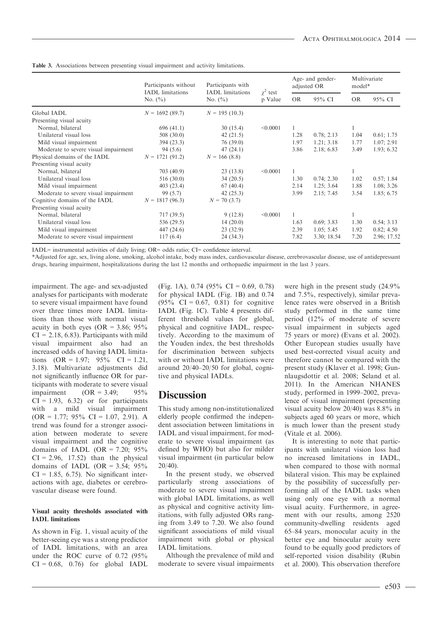|                                      | Participants without<br><b>IADL</b> limitations | Participants with<br><b>IADL</b> limitations | $\gamma^2$ test<br>p Value | Age- and gender-<br>adjusted OR |             | Multivariate<br>model* |             |
|--------------------------------------|-------------------------------------------------|----------------------------------------------|----------------------------|---------------------------------|-------------|------------------------|-------------|
|                                      | No. $(\% )$                                     | No. $(\% )$                                  |                            | <b>OR</b>                       | 95% CI      | OR.                    | 95% CI      |
| Global IADL                          | $N = 1692(89.7)$                                | $N = 195(10.3)$                              |                            |                                 |             |                        |             |
| Presenting visual acuity             |                                                 |                                              |                            |                                 |             |                        |             |
| Normal, bilateral                    | 696(41.1)                                       | 30(15.4)                                     | < 0.0001                   |                                 |             |                        |             |
| Unilateral visual loss               | 508(30.0)                                       | 42 $(21.5)$                                  |                            | 1.28                            | 0.78; 2.13  | 1.04                   | 0.61; 1.75  |
| Mild visual impairment               | 394 (23.3)                                      | 76(39.0)                                     |                            | 1.97                            | 1.21; 3.18  | 1.77                   | 1.07; 2.91  |
| Moderate to severe visual impairment | 94 (5.6)                                        | 47(24.1)                                     |                            | 3.86                            | 2.18; 6.83  | 3.49                   | 1.93; 6.32  |
| Physical domains of the IADL         | $N = 1721(91.2)$                                | $N = 166(8.8)$                               |                            |                                 |             |                        |             |
| Presenting visual acuity             |                                                 |                                              |                            |                                 |             |                        |             |
| Normal, bilateral                    | 703 (40.9)                                      | 23(13.8)                                     | < 0.0001                   |                                 |             |                        |             |
| Unilateral visual loss               | 516(30.0)                                       | 34(20.5)                                     |                            | 1.30                            | 0.74; 2.30  | 1.02                   | 0.57; 1.84  |
| Mild visual impairment               | 403(23.4)                                       | 67(40.4)                                     |                            | 2.14                            | 1.25; 3.64  | 1.88                   | 1.08; 3.26  |
| Moderate to severe visual impairment | 99 (5.7)                                        | 42(25.3)                                     |                            | 3.99                            | 2.15; 7.45  | 3.54                   | 1.85; 6.75  |
| Cognitive domains of the IADL        | $N = 1817(96.3)$                                | $N = 70(3.7)$                                |                            |                                 |             |                        |             |
| Presenting visual acuity             |                                                 |                                              |                            |                                 |             |                        |             |
| Normal, bilateral                    | 717 (39.5)                                      | 9(12.8)                                      | < 0.0001                   | 1                               |             |                        |             |
| Unilateral visual loss               | 536 (29.5)                                      | 14(20.0)                                     |                            | 1.63                            | 0.69; 3.83  | 1.30                   | 0.54; 3.13  |
| Mild visual impairment               | 447 (24.6)                                      | 23(32.9)                                     |                            | 2.39                            | 1.05; 5.45  | 1.92                   | 0.82; 4.50  |
| Moderate to severe visual impairment | 117(6.4)                                        | 24 (34.3)                                    |                            | 7.82                            | 3.30; 18.54 | 7.20                   | 2.96; 17.52 |

Table 3. Associations between presenting visual impairment and activity limitations.

IADL= instrumental activities of daily living; OR= odds ratio; CI= confidence interval.

\*Adjusted for age, sex, living alone, smoking, alcohol intake, body mass index, cardiovascular disease, cerebrovascular disease, use of antidepressant drugs, hearing impairment, hospitalizations during the last 12 months and orthopaedic impairment in the last 3 years.

impairment. The age- and sex-adjusted analyses for participants with moderate to severe visual impairment have found over three times more IADL limitations than those with normal visual acuity in both eyes (OR =  $3.86$ ; 95%  $CI = 2.18, 6.83$ . Participants with mild visual impairment also had an increased odds of having IADL limitations  $(OR = 1.97; 95\% \text{ CI} = 1.21,$ 3.18). Multivariate adjustments did not significantly influence OR for participants with moderate to severe visual impairment  $(OR = 3.49; 95\%$  $CI = 1.93, 6.32$  or for participants with a mild visual impairment  $(OR = 1.77; 95\% \text{ CI} = 1.07, 2.91).$  A trend was found for a stronger association between moderate to severe visual impairment and the cognitive domains of IADL (OR =  $7.20$ ;  $95\%$  $CI = 2.96$ , 17.52) than the physical domains of IADL (OR =  $3.54$ ;  $95\%$  $CI = 1.85, 6.75$ ). No significant interactions with age, diabetes or cerebrovascular disease were found.

#### Visual acuity thresholds associated with IADL limitations

As shown in Fig. 1, visual acuity of the better-seeing eye was a strong predictor of IADL limitations, with an area under the ROC curve of 0.72 (95%  $CI = 0.68$ , 0.76) for global IADL

(Fig. 1A), 0.74 (95% CI = 0.69, 0.78) for physical IADL (Fig. 1B) and 0.74  $(95\% \text{ CI} = 0.67, 0.81) \text{ for cognitive}$ IADL (Fig. 1C). Table 4 presents different threshold values for global, physical and cognitive IADL, respectively. According to the maximum of the Youden index, the best thresholds for discrimination between subjects with or without IADL limitations were around 20/40–20/50 for global, cognitive and physical IADLs.

# **Discussion**

This study among non-institutionalized elderly people confirmed the independent association between limitations in IADL and visual impairment, for moderate to severe visual impairment (as defined by WHO) but also for milder visual impairment (in particular below 20/40).

In the present study, we observed particularly strong associations of moderate to severe visual impairment with global IADL limitations, as well as physical and cognitive activity limitations, with fully adjusted ORs ranging from 3.49 to 7.20. We also found significant associations of mild visual impairment with global or physical IADL limitations.

Although the prevalence of mild and moderate to severe visual impairments were high in the present study (24.9% and 7.5%, respectively), similar prevalence rates were observed in a British study performed in the same time period (12% of moderate of severe visual impairment in subjects aged 75 years or more) (Evans et al. 2002). Other European studies usually have used best-corrected visual acuity and therefore cannot be compared with the present study (Klaver et al. 1998; Gunnlaugsdottir et al. 2008; Seland et al. 2011). In the American NHANES study, performed in 1999–2002, prevalence of visual impairment (presenting visual acuity below 20/40) was 8.8% in subjects aged 60 years or more, which is much lower than the present study (Vitale et al. 2006).

It is interesting to note that participants with unilateral vision loss had no increased limitations in IADL, when compared to those with normal bilateral vision. This may be explained by the possibility of successfully performing all of the IADL tasks when using only one eye with a normal visual acuity. Furthermore, in agreement with our results, among 2520 community-dwelling residents aged 65–84 years, monocular acuity in the better eye and binocular acuity were found to be equally good predictors of self-reported vision disability (Rubin et al. 2000). This observation therefore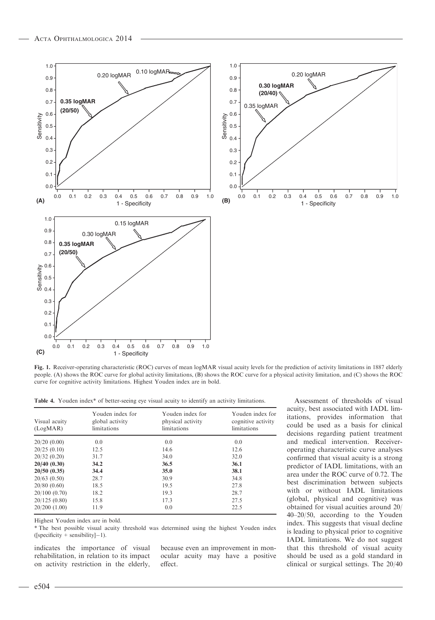

Fig. 1. Receiver-operating characteristic (ROC) curves of mean logMAR visual acuity levels for the prediction of activity limitations in 1887 elderly people. (A) shows the ROC curve for global activity limitations, (B) shows the ROC curve for a physical activity limitation, and (C) shows the ROC curve for cognitive activity limitations. Highest Youden index are in bold.

Table 4. Youden index\* of better-seeing eye visual acuity to identify an activity limitations.

| Visual acuity<br>(LogMAR) | Youden index for<br>global activity<br>limitations | Youden index for<br>physical activity<br>limitations | Youden index for<br>cognitive activity<br>limitations |
|---------------------------|----------------------------------------------------|------------------------------------------------------|-------------------------------------------------------|
| 20/20(0.00)               | 0.0                                                | 0.0                                                  | 0.0                                                   |
| 20/25(0.10)               | 12.5                                               | 14.6                                                 | 12.6                                                  |
| 20/32(0.20)               | 31.7                                               | 34.0                                                 | 32.0                                                  |
| 20/40(0.30)               | 34.2                                               | 36.5                                                 | 36.1                                                  |
| 20/50(0.35)               | 34.4                                               | 35.0                                                 | 38.1                                                  |
| 20/63(0.50)               | 28.7                                               | 30.9                                                 | 34.8                                                  |
| 20/80(0.60)               | 18.5                                               | 19.5                                                 | 27.8                                                  |
| 20/100(0.70)              | 18.2                                               | 19.3                                                 | 28.7                                                  |
| 20/125(0.80)              | 15.8                                               | 17.3                                                 | 27.5                                                  |
| $20/200$ $(1.00)$         | 11.9                                               | 0.0                                                  | 22.5                                                  |

Highest Youden index are in bold.

\* The best possible visual acuity threshold was determined using the highest Youden index ([specificity + sensibility]-1).

indicates the importance of visual rehabilitation, in relation to its impact on activity restriction in the elderly, because even an improvement in monocular acuity may have a positive effect.

Assessment of thresholds of visual acuity, best associated with IADL limitations, provides information that could be used as a basis for clinical decisions regarding patient treatment and medical intervention. Receiveroperating characteristic curve analyses confirmed that visual acuity is a strong predictor of IADL limitations, with an area under the ROC curve of 0.72. The best discrimination between subjects with or without IADL limitations (global, physical and cognitive) was obtained for visual acuities around 20/ 40–20/50, according to the Youden index. This suggests that visual decline is leading to physical prior to cognitive IADL limitations. We do not suggest that this threshold of visual acuity should be used as a gold standard in clinical or surgical settings. The 20/40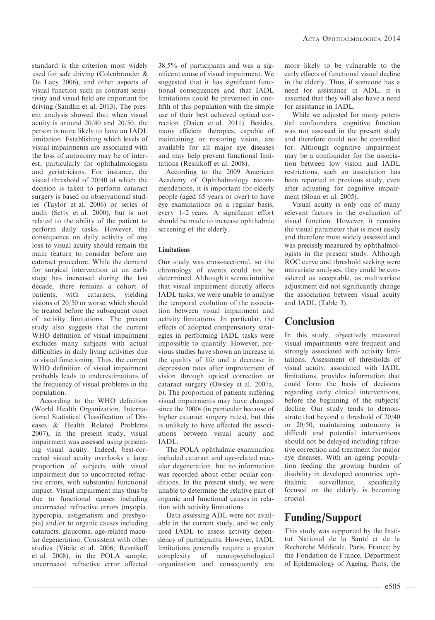standard is the criterion most widely used for safe driving (Colenbrander & De Laey 2006), and other aspects of visual function such as contrast sensitivity and visual field are important for driving (Sandlin et al. 2013). The present analysis showed that when visual acuity is around 20/40 and 20/50, the person is more likely to have an IADL limitation. Establishing which levels of visual impairments are associated with the loss of autonomy may be of interest, particularly for ophthalmologists and geriatricians. For instance, the visual threshold of 20/40 at which the decision is taken to perform cataract surgery is based on observational studies (Taylor et al. 2006) or series of audit (Setty et al. 2000), but is not related to the ability of the patient to perform daily tasks. However, the consequence on daily activity of any loss to visual acuity should remain the main feature to consider before any cataract procedure. While the demand for surgical intervention at an early stage has increased during the last decade, there remains a cohort of patients, with cataracts, yielding visions of 20/50 or worse, which should be treated before the subsequent onset of activity limitations. The present study also suggests that the current WHO definition of visual impairment excludes many subjects with actual difficulties in daily living activities due to visual functioning. Thus, the current WHO definition of visual impairment probably leads to underestimations of the frequency of visual problems in the population.

According to the WHO definition (World Health Organization, International Statistical Classification of Diseases & Health Related Problems 2007), in the present study, visual impairment was assessed using presenting visual acuity. Indeed, best-corrected visual acuity overlooks a large proportion of subjects with visual impairment due to uncorrected refractive errors, with substantial functional impact. Visual impairment may thus be due to functional causes including uncorrected refractive errors (myopia, hyperopia, astigmatism and presbyopia) and/or to organic causes including cataracts, glaucoma, age-related macular degeneration. Consistent with other studies (Vitale et al. 2006; Resnikoff et al. 2008), in the POLA sample, uncorrected refractive error affected

38.5% of participants and was a significant cause of visual impairment. We suggested that it has significant functional consequences and that IADL limitations could be prevented in onefifth of this population with the simple use of their best achieved optical correction (Daien et al. 2011). Besides, many efficient therapies, capable of maintaining or restoring vision, are available for all major eye diseases and may help prevent functional limitations (Resnikoff et al. 2008).

According to the 2009 American Academy of Ophthalmology recommendations, it is important for elderly people (aged 65 years or over) to have eye examinations on a regular basis, every 1–2 years. A significant effort should be made to increase ophthalmic screening of the elderly.

#### Limitations

Our study was cross-sectional, so the chronology of events could not be determined. Although it seems intuitive that visual impairment directly affects IADL tasks, we were unable to analyse the temporal evolution of the association between visual impairment and activity limitations. In particular, the effects of adopted compensatory strategies in performing IADL tasks were impossible to quantify. However, previous studies have shown an increase in the quality of life and a decrease in depression rates after improvement of vision through optical correction or cataract surgery (Owsley et al. 2007a, b). The proportion of patients suffering visual impairments may have changed since the 2000s (in particular because of higher cataract surgery rates), but this is unlikely to have affected the associations between visual acuity and IADL.

The POLA ophthalmic examination included cataract and age-related macular degeneration, but no information was recorded about other ocular conditions. In the present study, we were unable to determine the relative part of organic and functional causes in relation with activity limitations.

Data assessing ADL were not available in the current study, and we only used IADL to assess activity dependency of participants. However, IADL limitations generally require a greater complexity of neuropsychological organization and consequently are more likely to be vulnerable to the early effects of functional visual decline in the elderly. Thus, if someone has a need for assistance in ADL, it is assumed that they will also have a need for assistance in IADL.

While we adjusted for many potential confounders, cognitive function was not assessed in the present study and therefore could not be controlled for. Although cognitive impairment may be a confounder for the association between low vision and IADL restrictions, such an association has been reported in previous study, even after adjusting for cognitive impairment (Sloan et al. 2005).

Visual acuity is only one of many relevant factors in the evaluation of visual function. However, it remains the visual parameter that is most easily and therefore most widely assessed and was precisely measured by ophthalmologists in the present study. Although ROC curve and threshold seeking were univariate analyses, they could be considered as acceptable, as multivariate adjustment did not significantly change the association between visual acuity and IADL (Table 3).

# **Conclusion**

In this study, objectively measured visual impairments were frequent and strongly associated with activity limitations. Assessment of thresholds of visual acuity, associated with IADL limitations, provides information that could form the basis of decisions regarding early clinical interventions, before the beginning of the subjects' decline. Our study tends to demonstrate that beyond a threshold of 20/40 or 20/50, maintaining autonomy is difficult and potential interventions should not be delayed including refractive correction and treatment for major eye diseases. With an ageing population feeding the growing burden of disability in developed countries, ophthalmic surveillance, specifically focused on the elderly, is becoming crucial.

# Funding/Support

This study was supported by the Institut National de la Santé et de la Recherche Medicale, Paris, France; by the Fondation de France, Department of Epidemiology of Ageing, Paris, the